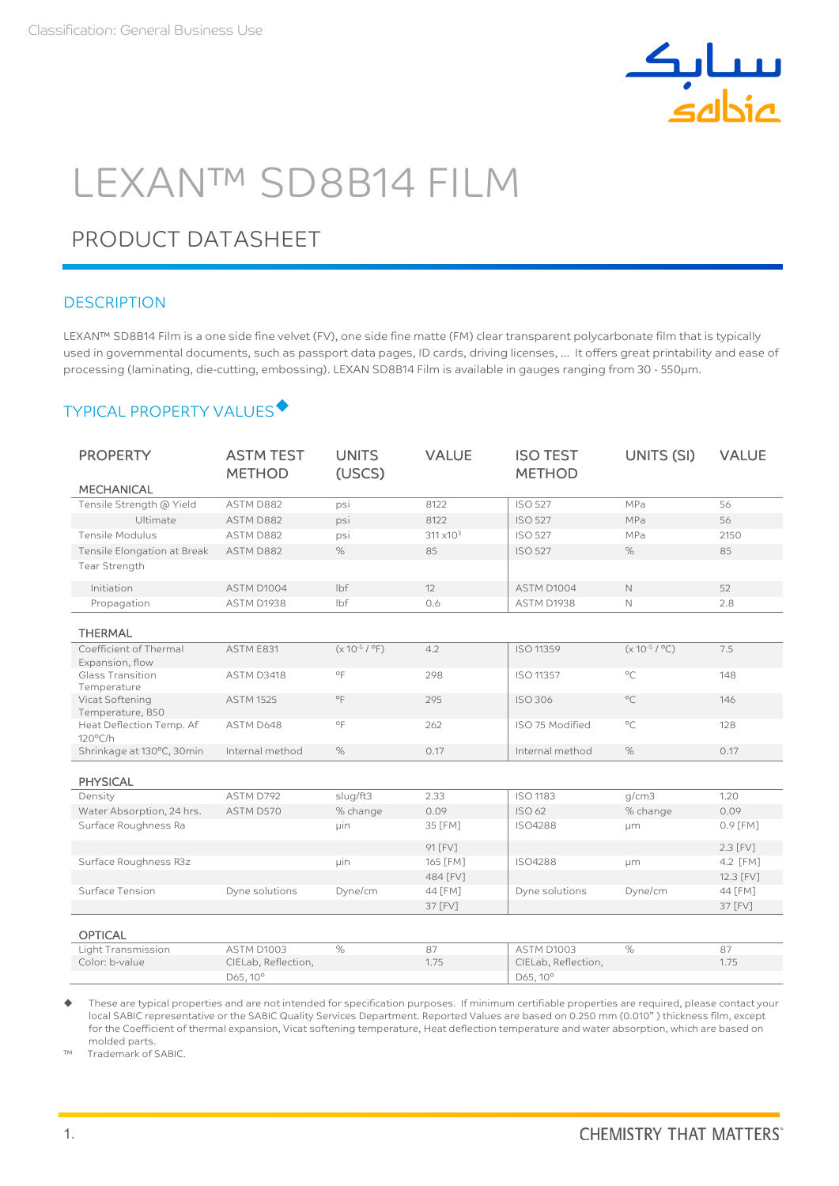

# LEXAN™ SD8B14 FILM

# PRODUCT DATASHEET

## **DESCRIPTION**

LEXAN™ SD8B14 Film is a one side fine velvet (FV), one side fine matte (FM) clear transparent polycarbonate film that is typically used in governmental documents, such as passport data pages, ID cards, driving licenses, … It offers great printability and ease of processing (laminating, die-cutting, embossing). LEXAN SD8B14 Film is available in gauges ranging from 30 - 550µm.

# TYPICAL PROPERTY VALUES

| <b>PROPERTY</b>                               | <b>ASTM TEST</b>    | <b>UNITS</b>       | <b>VALUE</b>        | <b>ISO TEST</b>     | UNITS (SI)         | <b>VALUE</b>     |
|-----------------------------------------------|---------------------|--------------------|---------------------|---------------------|--------------------|------------------|
|                                               | <b>METHOD</b>       | (USCS)             |                     | <b>METHOD</b>       |                    |                  |
| <b>MECHANICAL</b>                             |                     |                    |                     |                     |                    |                  |
| Tensile Strength @ Yield                      | ASTM D882           | psi                | 8122                | <b>ISO 527</b>      | MPa                | 56               |
| Ultimate                                      | ASTM D882           | psi                | 8122                | <b>ISO 527</b>      | MPa                | 56               |
| Tensile Modulus                               | ASTM D882           | psi                | $311 \times 10^{3}$ | <b>ISO 527</b>      | MPa                | 2150             |
| Tensile Elongation at Break                   | ASTM D882           | $\%$               | 85                  | <b>ISO 527</b>      | $\%$               | 85               |
| Tear Strength                                 |                     |                    |                     |                     |                    |                  |
| Initiation                                    | ASTM D1004          | lbf                | 12                  | ASTM D1004          | $\mathbb{N}$       | 52               |
| Propagation                                   | ASTM D1938          | lbf                | 0.6                 | ASTM D1938          | $\mathbb N$        | 2.8              |
|                                               |                     |                    |                     |                     |                    |                  |
| <b>THERMAL</b>                                |                     |                    |                     |                     |                    |                  |
| Coefficient of Thermal<br>Expansion, flow     | ASTM E831           | $(x 10^{-5} / °F)$ | 4.2                 | <b>ISO 11359</b>    | $(x 10^{-5} / °C)$ | 7.5              |
| Glass Transition<br>Temperature               | ASTM D3418          | $^{\circ}$ F       | 298                 | <b>ISO 11357</b>    | $^{\circ}$ C       | 148              |
| Vicat Softening<br>Temperature, B50           | <b>ASTM 1525</b>    | $^{\circ}$ F       | 295                 | <b>ISO 306</b>      | $^{\circ}C$        | 146              |
| Heat Deflection Temp. Af<br>$120^{\circ}$ C/h | ASTM D648           | $^{\circ}$ F       | 262                 | ISO 75 Modified     | $^{\circ}C$        | 128              |
| Shrinkage at 130°C, 30min                     | Internal method     | $\%$               | 0.17                | Internal method     | $\%$               | 0.17             |
| <b>PHYSICAL</b>                               |                     |                    |                     |                     |                    |                  |
| Density                                       | ASTM D792           | slug/ft3           | 2.33                | <b>ISO 1183</b>     | q/cm3              | 1.20             |
| Water Absorption, 24 hrs.                     | ASTM D570           | % change           | 0.09                | <b>ISO 62</b>       | % change           | 0.09             |
| Surface Roughness Ra                          |                     | µin                | 35 [FM]             | <b>ISO4288</b>      | μm                 | 0.9 [FM]         |
|                                               |                     |                    | 91 [FV]             |                     |                    | $2.3$ $\Gamma$ V |
| Surface Roughness R3z                         |                     | uin                | 165 [FM]            | ISO4288             | um                 | 4.2 [FM]         |
|                                               |                     |                    | 484 [FV]            |                     |                    | 12.3 [FV]        |
| Surface Tension                               | Dyne solutions      | Dyne/cm            | 44 [FM]             | Dyne solutions      | Dyne/cm            | 44 [FM]          |
|                                               |                     |                    | 37 [FV]             |                     |                    | 37 [FV]          |
| <b>OPTICAL</b>                                |                     |                    |                     |                     |                    |                  |
| Light Transmission                            | ASTM D1003          | $\%$               | 87                  | ASTM D1003          | $\%$               | 87               |
| Color: b-value                                | CIELab, Reflection, |                    | 1.75                | CIELab, Reflection, |                    | 1.75             |
|                                               | D65, 10°            |                    |                     | D65, 10°            |                    |                  |

 These are typical properties and are not intended for specification purposes. If minimum certifiable properties are required, please contact your local SABIC representative or the SABIC Quality Services Department. Reported Values are based on 0.250 mm (0.010" ) thickness film, except for the Coefficient of thermal expansion, Vicat softening temperature, Heat deflection temperature and water absorption, which are based on molded parts.

™ Trademark of SABIC.